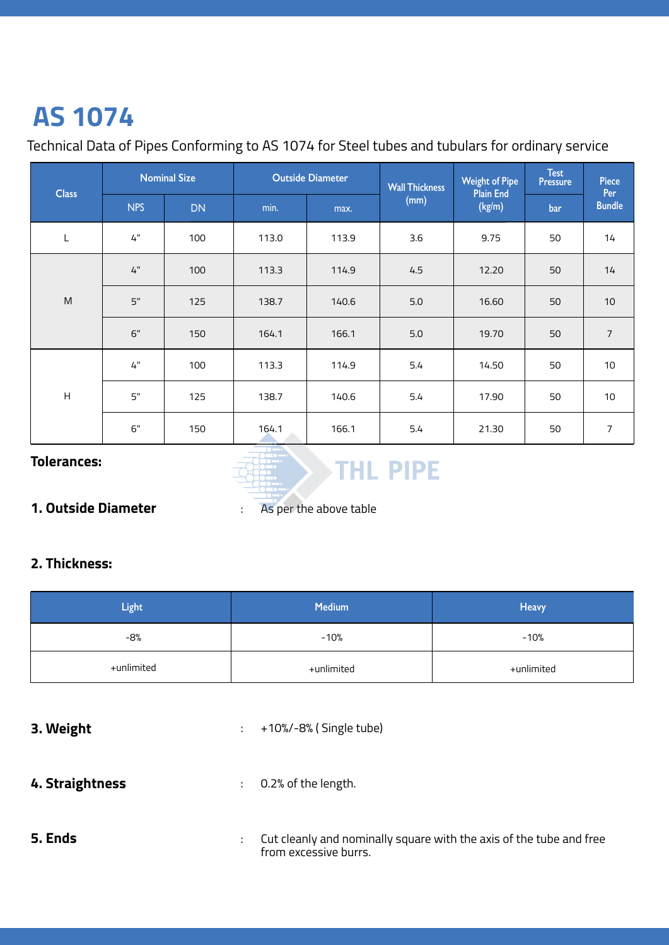# **AS 1074**

### Technical Data of Pipes Conforming to AS 1074 for Steel tubes and tubulars for ordinary service

| <b>Class</b> | <b>Nominal Size</b> |           | <b>Outside Diameter</b> |       | <b>Wall Thickness</b> | <b>Weight of Pipe</b><br><b>Plain End</b> | <b>Test</b><br><b>Pressure</b> | Piece<br>Per   |
|--------------|---------------------|-----------|-------------------------|-------|-----------------------|-------------------------------------------|--------------------------------|----------------|
|              | <b>NPS</b>          | <b>DN</b> | min.                    | max.  | (mm)                  | (kg/m)                                    | bar                            | <b>Bundle</b>  |
| L            | $4"$                | 100       | 113.0                   | 113.9 | 3.6                   | 9.75                                      | 50                             | 14             |
| M            | 4"                  | 100       | 113.3                   | 114.9 | 4.5                   | 12.20                                     | 50                             | 14             |
|              | 5"                  | 125       | 138.7                   | 140.6 | 5.0                   | 16.60                                     | 50                             | 10             |
|              | 6"                  | 150       | 164.1                   | 166.1 | 5.0                   | 19.70                                     | 50                             | $\overline{7}$ |
| H            | 4"                  | 100       | 113.3                   | 114.9 | 5.4                   | 14.50                                     | 50                             | 10             |
|              | 5"                  | 125       | 138.7                   | 140.6 | 5.4                   | 17.90                                     | 50                             | $10$           |
|              | 6"                  | 150       | 164.1                   | 166.1 | 5.4                   | 21.30                                     | 50                             | 7              |

#### **Tolerances:**



#### **1. Outside Diameter**

: As per the above table

#### **2. Thickness:**

| <b>Light</b> | <b>Medium</b> | Heavy      |
|--------------|---------------|------------|
| -8%          | $-10%$        | $-10%$     |
| +unlimited   | +unlimited    | +unlimited |

| 3. Weight       | $\mathbb{Z}^{\mathbb{Z}}$ | +10%/-8% (Single tube)                                                                       |
|-----------------|---------------------------|----------------------------------------------------------------------------------------------|
| 4. Straightness | ÷                         | 0.2% of the length.                                                                          |
| 5. Ends         | ÷.                        | Cut cleanly and nominally square with the axis of the tube and free<br>from excessive burrs. |